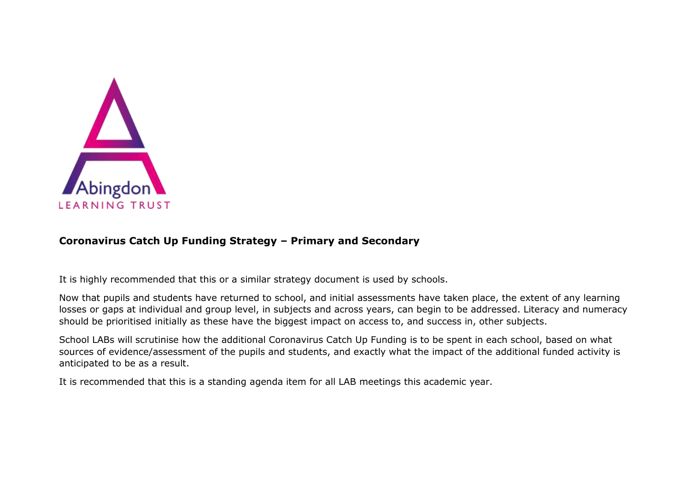

## **Coronavirus Catch Up Funding Strategy – Primary and Secondary**

It is highly recommended that this or a similar strategy document is used by schools.

Now that pupils and students have returned to school, and initial assessments have taken place, the extent of any learning losses or gaps at individual and group level, in subjects and across years, can begin to be addressed. Literacy and numeracy should be prioritised initially as these have the biggest impact on access to, and success in, other subjects.

School LABs will scrutinise how the additional Coronavirus Catch Up Funding is to be spent in each school, based on what sources of evidence/assessment of the pupils and students, and exactly what the impact of the additional funded activity is anticipated to be as a result.

It is recommended that this is a standing agenda item for all LAB meetings this academic year.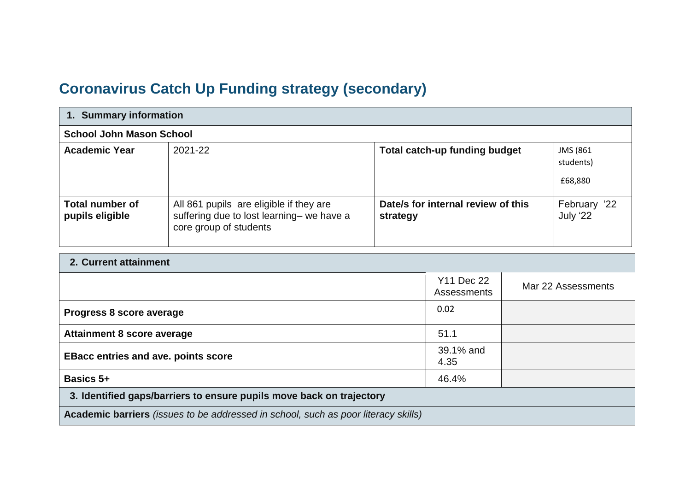## **Coronavirus Catch Up Funding strategy (secondary)**

| 1. Summary information                    |                                                                                                                |                                                |                                  |  |  |
|-------------------------------------------|----------------------------------------------------------------------------------------------------------------|------------------------------------------------|----------------------------------|--|--|
| <b>School John Mason School</b>           |                                                                                                                |                                                |                                  |  |  |
| <b>Academic Year</b>                      | 2021-22                                                                                                        | <b>Total catch-up funding budget</b>           | JMS (861<br>students)<br>£68,880 |  |  |
| <b>Total number of</b><br>pupils eligible | All 861 pupils are eligible if they are<br>suffering due to lost learning- we have a<br>core group of students | Date/s for internal review of this<br>strategy | February '22<br>July '22         |  |  |

## **2. Current attainment**

|                                                                                                  | Y11 Dec 22<br><b>Assessments</b> | Mar 22 Assessments |  |  |
|--------------------------------------------------------------------------------------------------|----------------------------------|--------------------|--|--|
| Progress 8 score average                                                                         | 0.02                             |                    |  |  |
| <b>Attainment 8 score average</b>                                                                | 51.1                             |                    |  |  |
| <b>EBacc entries and ave. points score</b>                                                       | 39.1% and<br>4.35                |                    |  |  |
| <b>Basics 5+</b>                                                                                 | 46.4%                            |                    |  |  |
| 3. Identified gaps/barriers to ensure pupils move back on trajectory                             |                                  |                    |  |  |
| <b>Academic barriers</b> <i>(issues to be addressed in school, such as poor literacy skills)</i> |                                  |                    |  |  |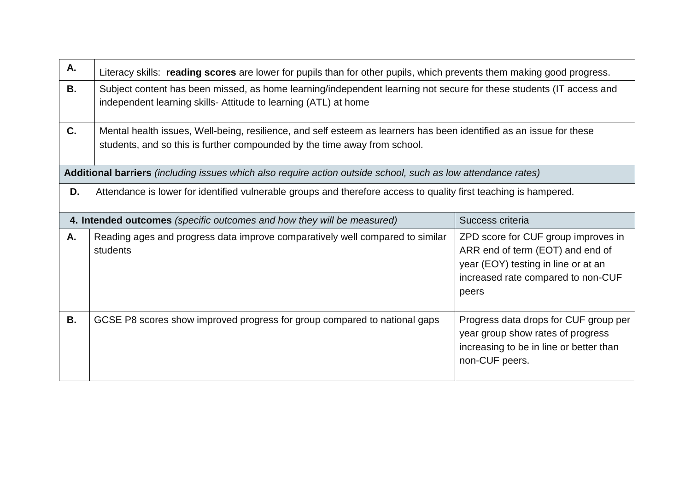| Α. | Literacy skills: reading scores are lower for pupils than for other pupils, which prevents them making good progress.                                                                                                                                      |                                                                                                                                         |  |  |  |  |
|----|------------------------------------------------------------------------------------------------------------------------------------------------------------------------------------------------------------------------------------------------------------|-----------------------------------------------------------------------------------------------------------------------------------------|--|--|--|--|
| В. | Subject content has been missed, as home learning/independent learning not secure for these students (IT access and<br>independent learning skills- Attitude to learning (ATL) at home                                                                     |                                                                                                                                         |  |  |  |  |
| C. | Mental health issues, Well-being, resilience, and self esteem as learners has been identified as an issue for these<br>students, and so this is further compounded by the time away from school.                                                           |                                                                                                                                         |  |  |  |  |
|    | Additional barriers (including issues which also require action outside school, such as low attendance rates)                                                                                                                                              |                                                                                                                                         |  |  |  |  |
| D. | Attendance is lower for identified vulnerable groups and therefore access to quality first teaching is hampered.                                                                                                                                           |                                                                                                                                         |  |  |  |  |
|    | Success criteria<br>4. Intended outcomes (specific outcomes and how they will be measured)                                                                                                                                                                 |                                                                                                                                         |  |  |  |  |
| Α. | Reading ages and progress data improve comparatively well compared to similar<br>ZPD score for CUF group improves in<br>ARR end of term (EOT) and end of<br>students<br>year (EOY) testing in line or at an<br>increased rate compared to non-CUF<br>peers |                                                                                                                                         |  |  |  |  |
| В. | GCSE P8 scores show improved progress for group compared to national gaps                                                                                                                                                                                  | Progress data drops for CUF group per<br>year group show rates of progress<br>increasing to be in line or better than<br>non-CUF peers. |  |  |  |  |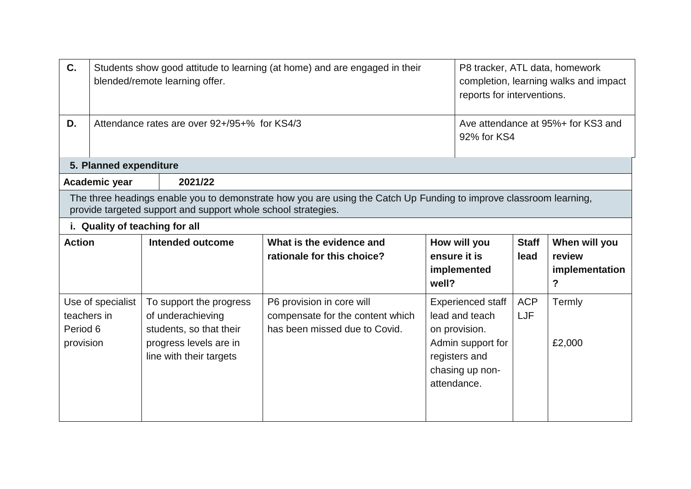| C.            | Students show good attitude to learning (at home) and are engaged in their<br>blended/remote learning offer. |                                                                                                   |                                                                                                                    |                                      | P8 tracker, ATL data, homework<br>completion, learning walks and impact<br>reports for interventions. |                               |  |
|---------------|--------------------------------------------------------------------------------------------------------------|---------------------------------------------------------------------------------------------------|--------------------------------------------------------------------------------------------------------------------|--------------------------------------|-------------------------------------------------------------------------------------------------------|-------------------------------|--|
| D.            |                                                                                                              | Attendance rates are over 92+/95+% for KS4/3<br>Ave attendance at 95%+ for KS3 and<br>92% for KS4 |                                                                                                                    |                                      |                                                                                                       |                               |  |
|               | 5. Planned expenditure                                                                                       |                                                                                                   |                                                                                                                    |                                      |                                                                                                       |                               |  |
|               | Academic year                                                                                                | 2021/22                                                                                           |                                                                                                                    |                                      |                                                                                                       |                               |  |
|               |                                                                                                              | provide targeted support and support whole school strategies.                                     | The three headings enable you to demonstrate how you are using the Catch Up Funding to improve classroom learning, |                                      |                                                                                                       |                               |  |
|               |                                                                                                              | i. Quality of teaching for all                                                                    |                                                                                                                    |                                      |                                                                                                       |                               |  |
| <b>Action</b> |                                                                                                              | Intended outcome                                                                                  | What is the evidence and                                                                                           | How will you                         | <b>Staff</b>                                                                                          | When will you                 |  |
|               |                                                                                                              |                                                                                                   | rationale for this choice?                                                                                         | ensure it is<br>implemented<br>well? | lead                                                                                                  | review<br>implementation<br>? |  |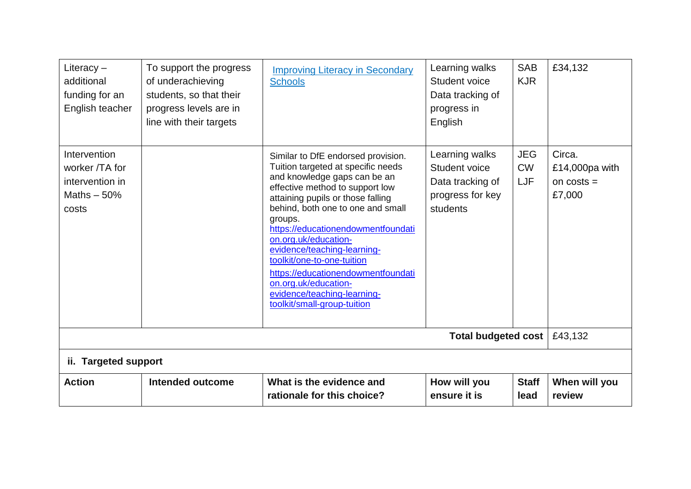| Literacy $-$<br>additional<br>funding for an<br>English teacher            | To support the progress<br>of underachieving<br>students, so that their<br>progress levels are in<br>line with their targets | <b>Improving Literacy in Secondary</b><br><b>Schools</b>                                                                                                                                                                                                                                                                                                                                                                                                                                | Learning walks<br>Student voice<br>Data tracking of<br>progress in<br>English       | <b>SAB</b><br><b>KJR</b>              | £34,132                                               |  |
|----------------------------------------------------------------------------|------------------------------------------------------------------------------------------------------------------------------|-----------------------------------------------------------------------------------------------------------------------------------------------------------------------------------------------------------------------------------------------------------------------------------------------------------------------------------------------------------------------------------------------------------------------------------------------------------------------------------------|-------------------------------------------------------------------------------------|---------------------------------------|-------------------------------------------------------|--|
| Intervention<br>worker /TA for<br>intervention in<br>Maths $-50%$<br>costs |                                                                                                                              | Similar to DfE endorsed provision.<br>Tuition targeted at specific needs<br>and knowledge gaps can be an<br>effective method to support low<br>attaining pupils or those falling<br>behind, both one to one and small<br>groups.<br>https://educationendowmentfoundati<br>on.org.uk/education-<br>evidence/teaching-learning-<br>toolkit/one-to-one-tuition<br>https://educationendowmentfoundati<br>on.org.uk/education-<br>evidence/teaching-learning-<br>toolkit/small-group-tuition | Learning walks<br>Student voice<br>Data tracking of<br>progress for key<br>students | <b>JEG</b><br><b>CW</b><br><b>LJF</b> | Circa.<br>£14,000 $pa$ with<br>on $costs =$<br>£7,000 |  |
| Total budgeted cost                                                        |                                                                                                                              |                                                                                                                                                                                                                                                                                                                                                                                                                                                                                         |                                                                                     |                                       |                                                       |  |
| ii. Targeted support                                                       |                                                                                                                              |                                                                                                                                                                                                                                                                                                                                                                                                                                                                                         |                                                                                     |                                       |                                                       |  |
| <b>Action</b>                                                              | Intended outcome                                                                                                             | What is the evidence and<br>rationale for this choice?                                                                                                                                                                                                                                                                                                                                                                                                                                  | How will you<br>ensure it is                                                        | <b>Staff</b><br>lead                  | When will you<br>review                               |  |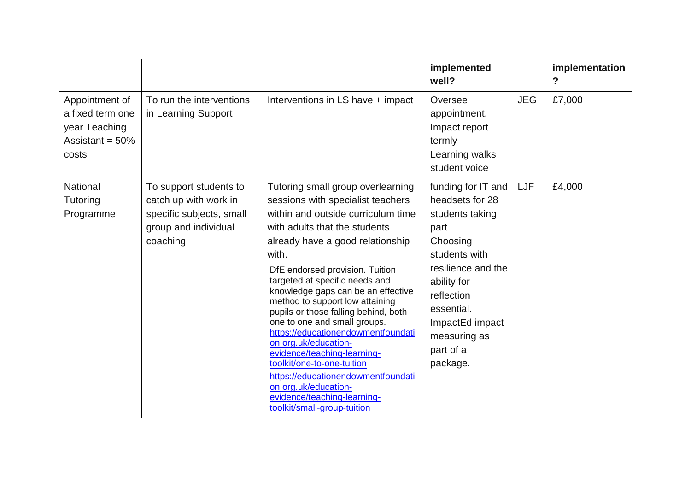|                                                                                    |                                                                                                                 |                                                                                                                                                                                                                                                                                                                                                                                                                                                                                                                                                                                                                                                                         | implemented<br>well?                                                                                                                                                                                                       |            | implementation<br>$\overline{?}$ |
|------------------------------------------------------------------------------------|-----------------------------------------------------------------------------------------------------------------|-------------------------------------------------------------------------------------------------------------------------------------------------------------------------------------------------------------------------------------------------------------------------------------------------------------------------------------------------------------------------------------------------------------------------------------------------------------------------------------------------------------------------------------------------------------------------------------------------------------------------------------------------------------------------|----------------------------------------------------------------------------------------------------------------------------------------------------------------------------------------------------------------------------|------------|----------------------------------|
| Appointment of<br>a fixed term one<br>year Teaching<br>Assistant = $50\%$<br>costs | To run the interventions<br>in Learning Support                                                                 | Interventions in LS have + impact                                                                                                                                                                                                                                                                                                                                                                                                                                                                                                                                                                                                                                       | Oversee<br>appointment.<br>Impact report<br>termly<br>Learning walks<br>student voice                                                                                                                                      | <b>JEG</b> | £7,000                           |
| National<br>Tutoring<br>Programme                                                  | To support students to<br>catch up with work in<br>specific subjects, small<br>group and individual<br>coaching | Tutoring small group overlearning<br>sessions with specialist teachers<br>within and outside curriculum time<br>with adults that the students<br>already have a good relationship<br>with.<br>DfE endorsed provision. Tuition<br>targeted at specific needs and<br>knowledge gaps can be an effective<br>method to support low attaining<br>pupils or those falling behind, both<br>one to one and small groups.<br>https://educationendowmentfoundati<br>on.org.uk/education-<br>evidence/teaching-learning-<br>toolkit/one-to-one-tuition<br>https://educationendowmentfoundati<br>on.org.uk/education-<br>evidence/teaching-learning-<br>toolkit/small-group-tuition | funding for IT and<br>headsets for 28<br>students taking<br>part<br>Choosing<br>students with<br>resilience and the<br>ability for<br>reflection<br>essential.<br>ImpactEd impact<br>measuring as<br>part of a<br>package. | LJF        | £4,000                           |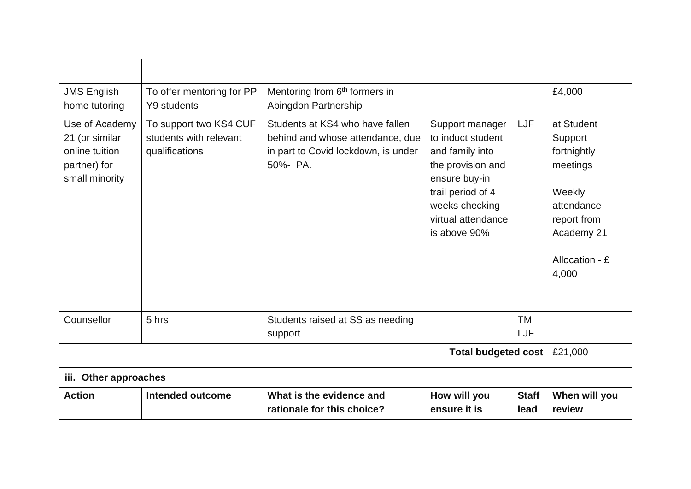| <b>JMS English</b><br>home tutoring                                                  | To offer mentoring for PP<br><b>Y9 students</b>                    | Mentoring from 6 <sup>th</sup> formers in<br>Abingdon Partnership                                                      |                                                                                                                                                                            |                      | £4,000                                                                                                                           |  |  |
|--------------------------------------------------------------------------------------|--------------------------------------------------------------------|------------------------------------------------------------------------------------------------------------------------|----------------------------------------------------------------------------------------------------------------------------------------------------------------------------|----------------------|----------------------------------------------------------------------------------------------------------------------------------|--|--|
| Use of Academy<br>21 (or similar<br>online tuition<br>partner) for<br>small minority | To support two KS4 CUF<br>students with relevant<br>qualifications | Students at KS4 who have fallen<br>behind and whose attendance, due<br>in part to Covid lockdown, is under<br>50%- PA. | Support manager<br>to induct student<br>and family into<br>the provision and<br>ensure buy-in<br>trail period of 4<br>weeks checking<br>virtual attendance<br>is above 90% | <b>LJF</b>           | at Student<br>Support<br>fortnightly<br>meetings<br>Weekly<br>attendance<br>report from<br>Academy 21<br>Allocation - £<br>4,000 |  |  |
| Counsellor                                                                           | 5 hrs                                                              | Students raised at SS as needing<br>support                                                                            |                                                                                                                                                                            | TM<br>LJF            |                                                                                                                                  |  |  |
| <b>Total budgeted cost</b>                                                           |                                                                    |                                                                                                                        |                                                                                                                                                                            |                      | £21,000                                                                                                                          |  |  |
|                                                                                      | iii. Other approaches                                              |                                                                                                                        |                                                                                                                                                                            |                      |                                                                                                                                  |  |  |
| <b>Action</b>                                                                        | <b>Intended outcome</b>                                            | What is the evidence and<br>rationale for this choice?                                                                 | How will you<br>ensure it is                                                                                                                                               | <b>Staff</b><br>lead | When will you<br>review                                                                                                          |  |  |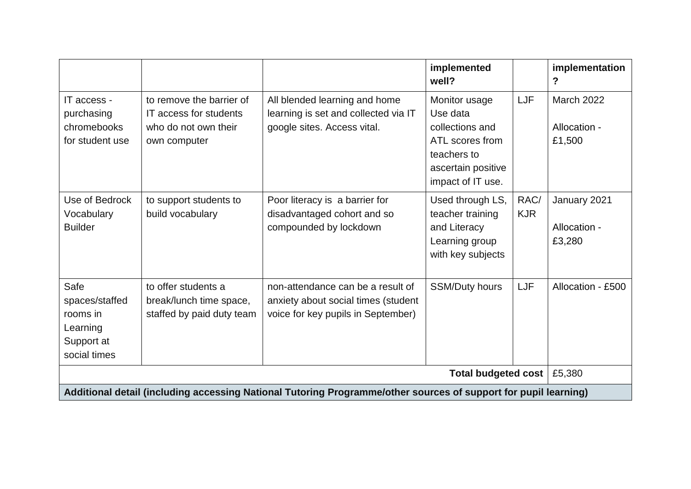|                                                                                                                 |                                                                                            |                                                                                                                | implemented<br>well?                                                                                                      |                    | implementation<br>?                         |
|-----------------------------------------------------------------------------------------------------------------|--------------------------------------------------------------------------------------------|----------------------------------------------------------------------------------------------------------------|---------------------------------------------------------------------------------------------------------------------------|--------------------|---------------------------------------------|
| IT access -<br>purchasing<br>chromebooks<br>for student use                                                     | to remove the barrier of<br>IT access for students<br>who do not own their<br>own computer | All blended learning and home<br>learning is set and collected via IT<br>google sites. Access vital.           | Monitor usage<br>Use data<br>collections and<br>ATL scores from<br>teachers to<br>ascertain positive<br>impact of IT use. | LJF                | <b>March 2022</b><br>Allocation -<br>£1,500 |
| Use of Bedrock<br>Vocabulary<br><b>Builder</b>                                                                  | to support students to<br>build vocabulary                                                 | Poor literacy is a barrier for<br>disadvantaged cohort and so<br>compounded by lockdown                        | Used through LS,<br>teacher training<br>and Literacy<br>Learning group<br>with key subjects                               | RAC/<br><b>KJR</b> | January 2021<br>Allocation -<br>£3,280      |
| Safe<br>spaces/staffed<br>rooms in<br>Learning<br>Support at<br>social times                                    | to offer students a<br>break/lunch time space,<br>staffed by paid duty team                | non-attendance can be a result of<br>anxiety about social times (student<br>voice for key pupils in September) | <b>SSM/Duty hours</b>                                                                                                     | LJF                | Allocation - £500                           |
|                                                                                                                 |                                                                                            |                                                                                                                | Total budgeted cost                                                                                                       |                    | £5,380                                      |
| Additional detail (including accessing National Tutoring Programme/other sources of support for pupil learning) |                                                                                            |                                                                                                                |                                                                                                                           |                    |                                             |